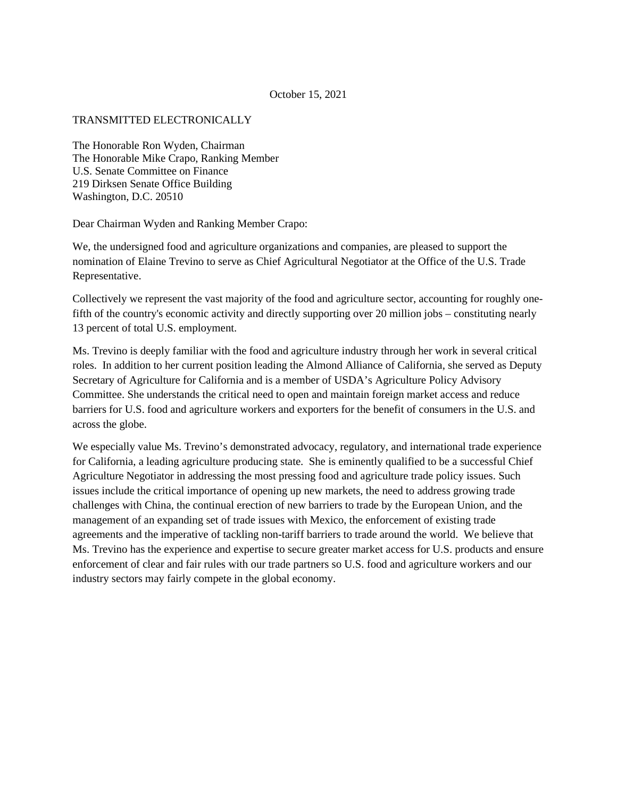## October 15, 2021

## TRANSMITTED ELECTRONICALLY

The Honorable Ron Wyden, Chairman The Honorable Mike Crapo, Ranking Member U.S. Senate Committee on Finance 219 Dirksen Senate Office Building Washington, D.C. 20510

Dear Chairman Wyden and Ranking Member Crapo:

We, the undersigned food and agriculture organizations and companies, are pleased to support the nomination of Elaine Trevino to serve as Chief Agricultural Negotiator at the Office of the U.S. Trade Representative.

Collectively we represent the vast majority of the food and agriculture sector, accounting for roughly onefifth of the country's economic activity and directly supporting over 20 million jobs – constituting nearly 13 percent of total U.S. employment.

Ms. Trevino is deeply familiar with the food and agriculture industry through her work in several critical roles. In addition to her current position leading the Almond Alliance of California, she served as Deputy Secretary of Agriculture for California and is a member of USDA's Agriculture Policy Advisory Committee. She understands the critical need to open and maintain foreign market access and reduce barriers for U.S. food and agriculture workers and exporters for the benefit of consumers in the U.S. and across the globe.

We especially value Ms. Trevino's demonstrated advocacy, regulatory, and international trade experience for California, a leading agriculture producing state. She is eminently qualified to be a successful Chief Agriculture Negotiator in addressing the most pressing food and agriculture trade policy issues. Such issues include the critical importance of opening up new markets, the need to address growing trade challenges with China, the continual erection of new barriers to trade by the European Union, and the management of an expanding set of trade issues with Mexico, the enforcement of existing trade agreements and the imperative of tackling non-tariff barriers to trade around the world. We believe that Ms. Trevino has the experience and expertise to secure greater market access for U.S. products and ensure enforcement of clear and fair rules with our trade partners so U.S. food and agriculture workers and our industry sectors may fairly compete in the global economy.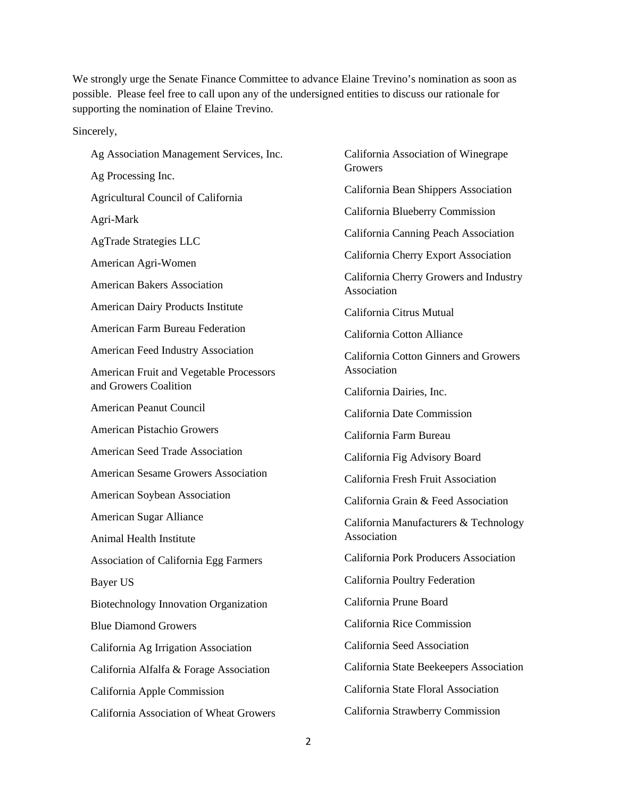We strongly urge the Senate Finance Committee to advance Elaine Trevino's nomination as soon as possible. Please feel free to call upon any of the undersigned entities to discuss our rationale for supporting the nomination of Elaine Trevino.

Sincerely,

| Ag Association Management Services, Inc.                         |
|------------------------------------------------------------------|
| Ag Processing Inc.                                               |
| Agricultural Council of California                               |
| Agri-Mark                                                        |
| <b>AgTrade Strategies LLC</b>                                    |
| American Agri-Women                                              |
| <b>American Bakers Association</b>                               |
| American Dairy Products Institute                                |
| American Farm Bureau Federation                                  |
| <b>American Feed Industry Association</b>                        |
| American Fruit and Vegetable Processors<br>and Growers Coalition |
| American Peanut Council                                          |
| American Pistachio Growers                                       |
| <b>American Seed Trade Association</b>                           |
| <b>American Sesame Growers Association</b>                       |
| American Soybean Association                                     |
| American Sugar Alliance                                          |
| Animal Health Institute                                          |
| Association of California Egg Farmers                            |
| Bayer US                                                         |
| <b>Biotechnology Innovation Organization</b>                     |
| <b>Blue Diamond Growers</b>                                      |
| California Ag Irrigation Association                             |
| California Alfalfa & Forage Association                          |
| California Apple Commission                                      |
| California Association of Wheat Growers                          |

California Association of Winegrape Growers California Bean Shippers Association California Blueberry Commission California Canning Peach Association California Cherry Export Association California Cherry Growers and Industry Association California Citrus Mutual California Cotton Alliance California Cotton Ginners and Growers Association California Dairies, Inc. California Date Commission California Farm Bureau California Fig Advisory Board California Fresh Fruit Association California Grain & Feed Association California Manufacturers & Technology Association California Pork Producers Association California Poultry Federation California Prune Board California Rice Commission California Seed Association California State Beekeepers Association California State Floral Association California Strawberry Commission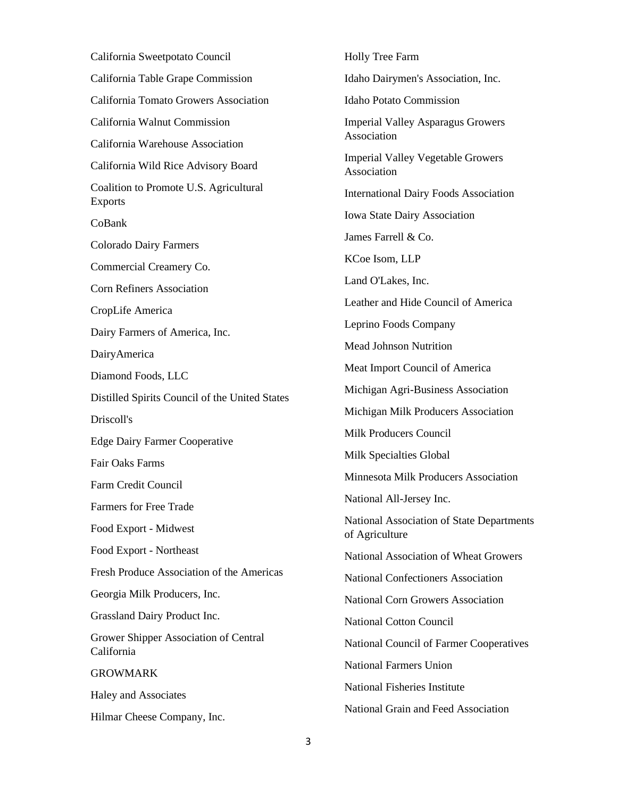California Sweetpotato Council California Table Grape Commission California Tomato Growers Association California Walnut Commission California Warehouse Association California Wild Rice Advisory Board Coalition to Promote U.S. Agricultural Exports CoBank Colorado Dairy Farmers Commercial Creamery Co. Corn Refiners Association CropLife America Dairy Farmers of America, Inc. DairyAmerica Diamond Foods, LLC Distilled Spirits Council of the United States Driscoll's Edge Dairy Farmer Cooperative Fair Oaks Farms Farm Credit Council Farmers for Free Trade Food Export - Midwest Food Export - Northeast Fresh Produce Association of the Americas Georgia Milk Producers, Inc. Grassland Dairy Product Inc. Grower Shipper Association of Central California **GROWMARK** Haley and Associates Hilmar Cheese Company, Inc.

Holly Tree Farm Idaho Dairymen's Association, Inc. Idaho Potato Commission Imperial Valley Asparagus Growers Association Imperial Valley Vegetable Growers Association International Dairy Foods Association Iowa State Dairy Association James Farrell & Co. KCoe Isom, LLP Land O'Lakes, Inc. Leather and Hide Council of America Leprino Foods Company Mead Johnson Nutrition Meat Import Council of America Michigan Agri-Business Association Michigan Milk Producers Association Milk Producers Council Milk Specialties Global Minnesota Milk Producers Association National All-Jersey Inc. National Association of State Departments of Agriculture National Association of Wheat Growers National Confectioners Association National Corn Growers Association National Cotton Council National Council of Farmer Cooperatives National Farmers Union National Fisheries Institute National Grain and Feed Association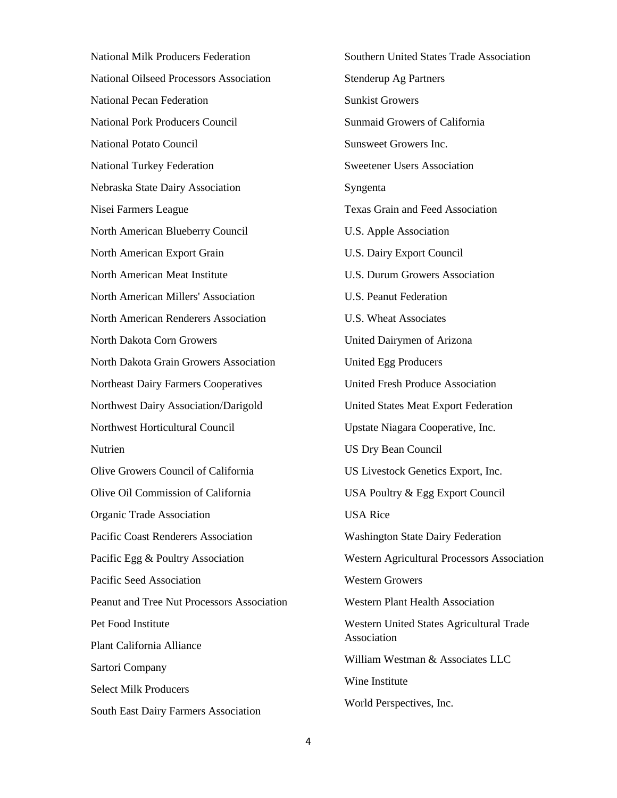National Milk Producers Federation National Oilseed Processors Association National Pecan Federation National Pork Producers Council National Potato Council National Turkey Federation Nebraska State Dairy Association Nisei Farmers League North American Blueberry Council North American Export Grain North American Meat Institute North American Millers' Association North American Renderers Association North Dakota Corn Growers North Dakota Grain Growers Association Northeast Dairy Farmers Cooperatives Northwest Dairy Association/Darigold Northwest Horticultural Council Nutrien Olive Growers Council of California Olive Oil Commission of California Organic Trade Association Pacific Coast Renderers Association Pacific Egg & Poultry Association Pacific Seed Association Peanut and Tree Nut Processors Association Pet Food Institute Plant California Alliance Sartori Company Select Milk Producers South East Dairy Farmers Association

Southern United States Trade Association Stenderup Ag Partners Sunkist Growers Sunmaid Growers of California Sunsweet Growers Inc. Sweetener Users Association Syngenta Texas Grain and Feed Association U.S. Apple Association U.S. Dairy Export Council U.S. Durum Growers Association U.S. Peanut Federation U.S. Wheat Associates United Dairymen of Arizona United Egg Producers United Fresh Produce Association United States Meat Export Federation Upstate Niagara Cooperative, Inc. US Dry Bean Council US Livestock Genetics Export, Inc. USA Poultry & Egg Export Council USA Rice Washington State Dairy Federation Western Agricultural Processors Association Western Growers Western Plant Health Association Western United States Agricultural Trade Association William Westman & Associates LLC Wine Institute World Perspectives, Inc.